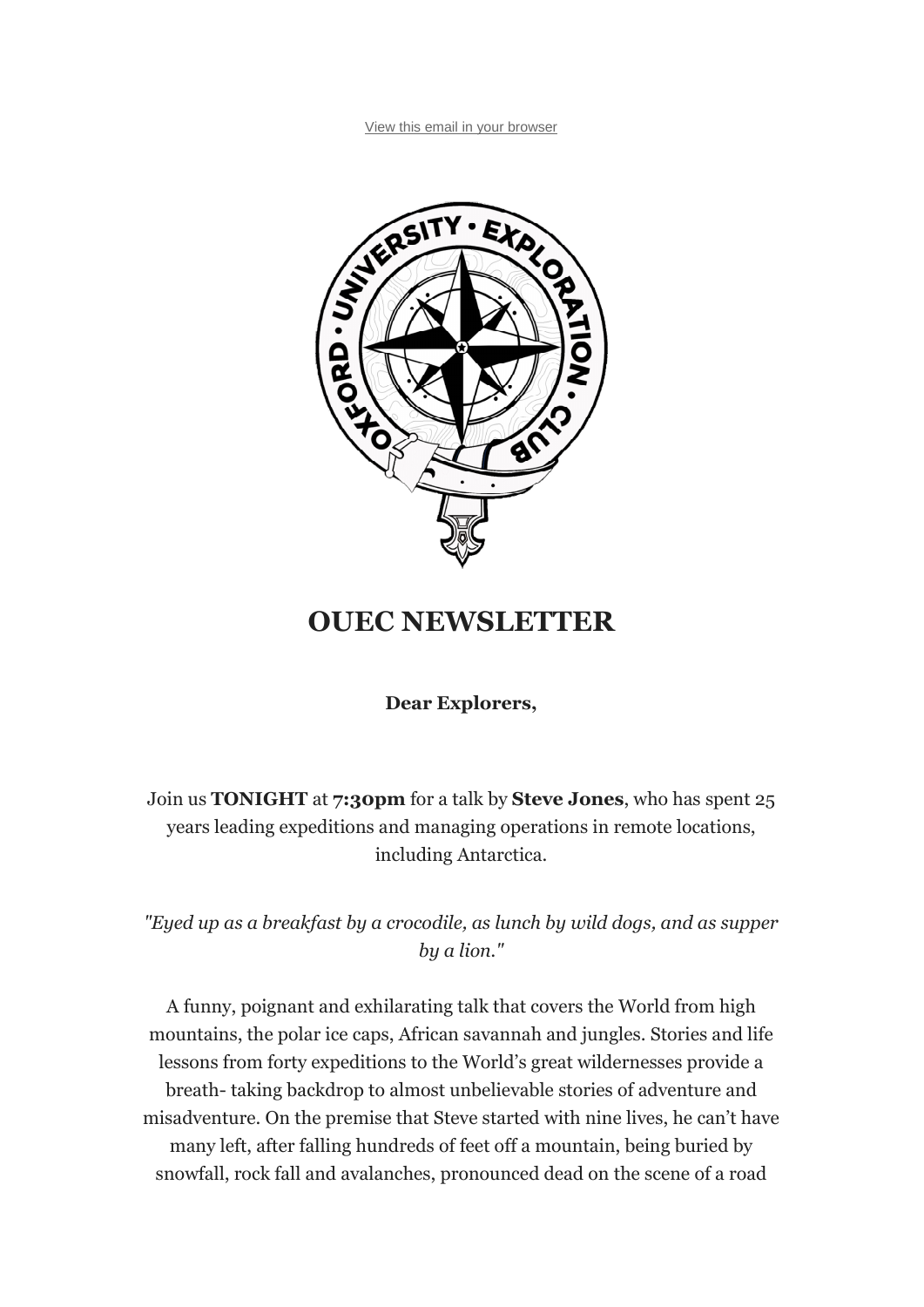View this email in your browser



## **OUEC NEWSLETTER**

**Dear Explorers,**

Join us **TONIGHT** at **7:30pm** for a talk by **Steve Jones**, who has spent 25 years leading expeditions and managing operations in remote locations, including Antarctica.

*"Eyed up as a breakfast by a crocodile, as lunch by wild dogs, and as supper by a lion."*

A funny, poignant and exhilarating talk that covers the World from high mountains, the polar ice caps, African savannah and jungles. Stories and life lessons from forty expeditions to the World's great wildernesses provide a breath- taking backdrop to almost unbelievable stories of adventure and misadventure. On the premise that Steve started with nine lives, he can't have many left, after falling hundreds of feet off a mountain, being buried by snowfall, rock fall and avalanches, pronounced dead on the scene of a road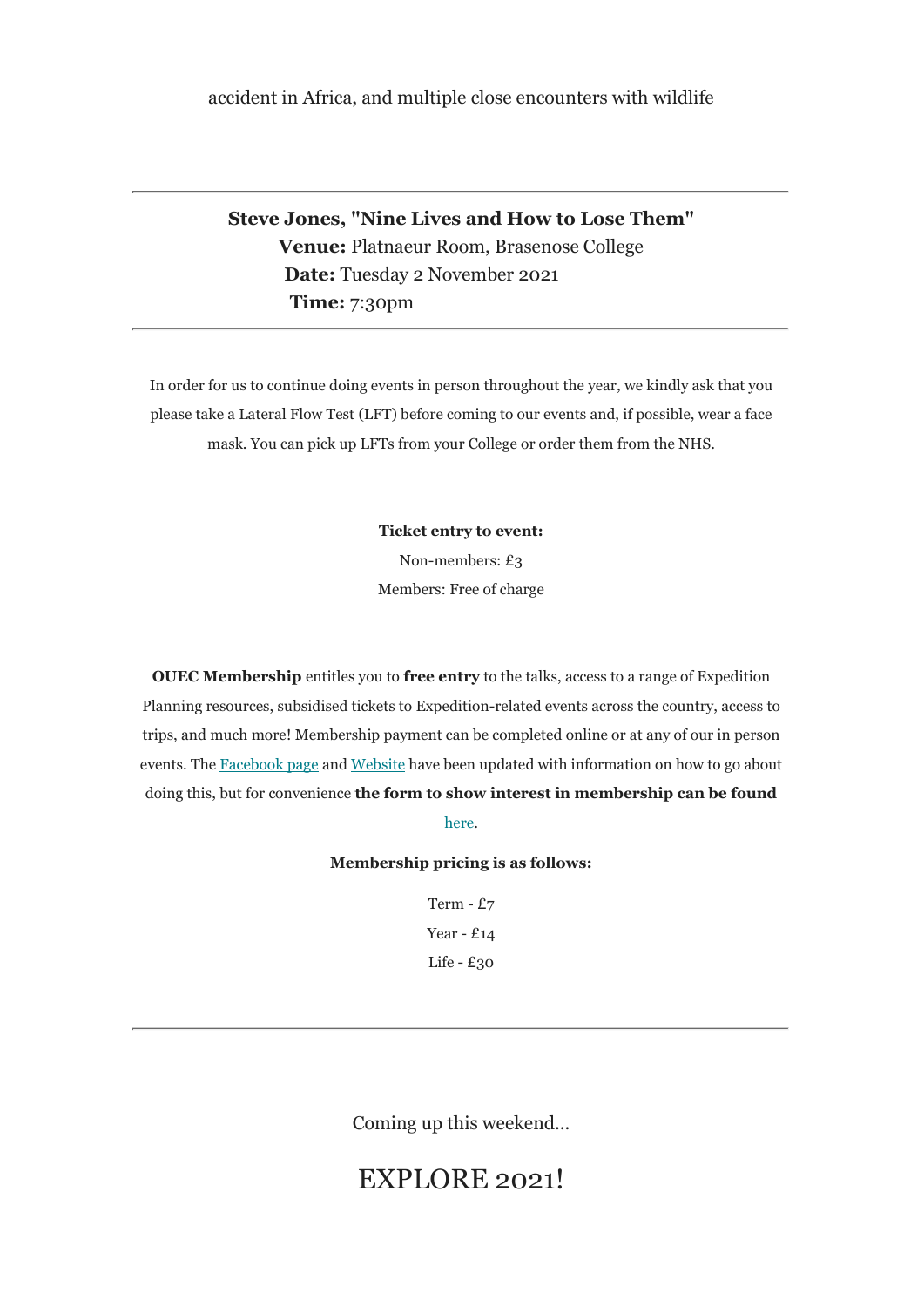## accident in Africa, and multiple close encounters with wildlife

**Steve Jones, "Nine Lives and How to Lose Them" Venue:** Platnaeur Room, Brasenose College  **Date:** Tuesday 2 November 2021  **Time:** 7:30pm

In order for us to continue doing events in person throughout the year, we kindly ask that you please take a Lateral Flow Test (LFT) before coming to our events and, if possible, wear a face mask. You can pick up LFTs from your College or order them from the NHS.

**Ticket entry to event:**

Non-members: £3 Members: Free of charge

**OUEC Membership** entitles you to **free entry** to the talks, access to a range of Expedition Planning resources, subsidised tickets to Expedition-related events across the country, access to trips, and much more! Membership payment can be completed online or at any of our in person events. The Facebook page and Website have been updated with information on how to go about doing this, but for convenience **the form to show interest in membership can be found** 

here.

**Membership pricing is as follows:**

Term - £7 Year - £14 Life - £30

Coming up this weekend...

## EXPLORE 2021!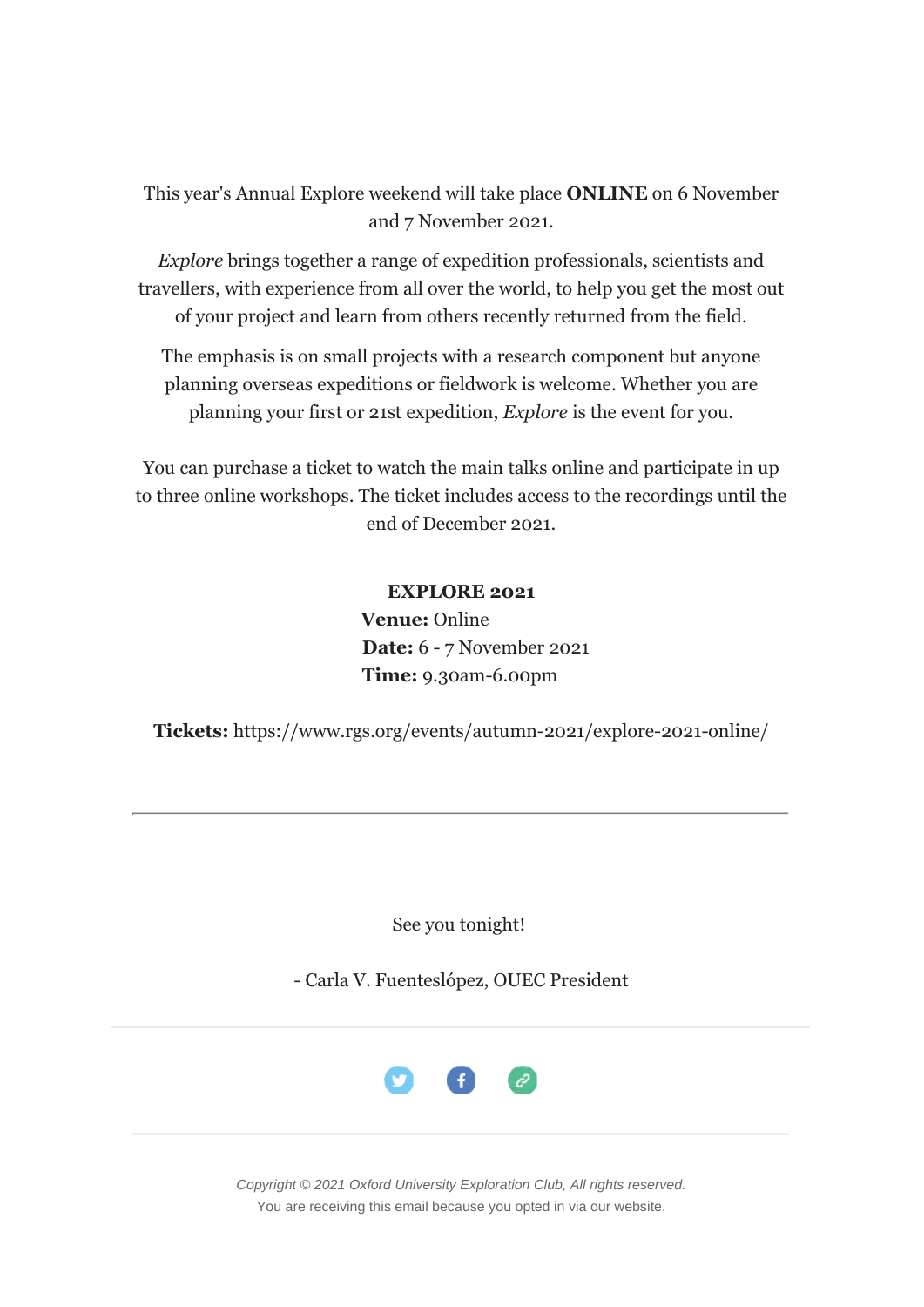This year's Annual Explore weekend will take place **ONLINE** on 6 November and 7 November 2021.

*Explore* brings together a range of expedition professionals, scientists and travellers, with experience from all over the world, to help you get the most out of your project and learn from others recently returned from the field.

The emphasis is on small projects with a research component but anyone planning overseas expeditions or fieldwork is welcome. Whether you are planning your first or 21st expedition, *Explore* is the event for you.

You can purchase a ticket to watch the main talks online and participate in up to three online workshops. The ticket includes access to the recordings until the end of December 2021.

## **EXPLORE 2021**

**Venue:** Online  **Date:** 6 - 7 November 2021  **Time:** 9.30am-6.00pm

**Tickets:** https://www.rgs.org/events/autumn-2021/explore-2021-online/

See you tonight!

- Carla V. Fuenteslópez, OUEC President



*Copyright © 2021 Oxford University Exploration Club, All rights reserved.* You are receiving this email because you opted in via our website.